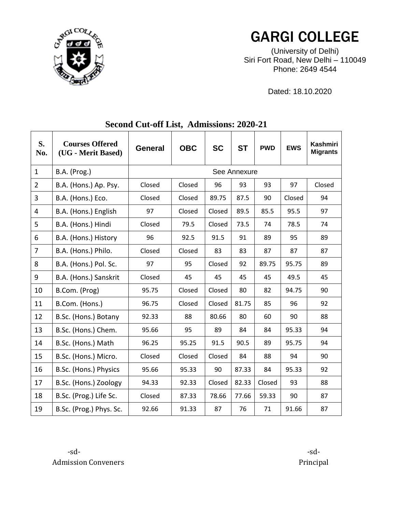

## GARGI COLLEGE

(University of Delhi) Siri Fort Road, New Delhi – 110049 Phone: 2649 4544

Dated: 18.10.2020

| S.<br>No.      | <b>Courses Offered</b><br>(UG - Merit Based) | <b>General</b> | <b>OBC</b> | <b>SC</b> | <b>ST</b> | <b>PWD</b> | <b>EWS</b> | Kashmiri<br><b>Migrants</b> |  |  |  |
|----------------|----------------------------------------------|----------------|------------|-----------|-----------|------------|------------|-----------------------------|--|--|--|
| $\mathbf{1}$   | <b>B.A.</b> (Prog.)                          | See Annexure   |            |           |           |            |            |                             |  |  |  |
| $\overline{2}$ | B.A. (Hons.) Ap. Psy.                        | Closed         | Closed     | 96        | 93        | 93         | 97         | Closed                      |  |  |  |
| 3              | B.A. (Hons.) Eco.                            | Closed         | Closed     | 89.75     | 87.5      | 90         | Closed     | 94                          |  |  |  |
| 4              | B.A. (Hons.) English                         | 97             | Closed     | Closed    | 89.5      | 85.5       | 95.5       | 97                          |  |  |  |
| 5              | B.A. (Hons.) Hindi                           | Closed         | 79.5       | Closed    | 73.5      | 74         | 78.5       | 74                          |  |  |  |
| 6              | B.A. (Hons.) History                         | 96             | 92.5       | 91.5      | 91        | 89         | 95         | 89                          |  |  |  |
| $\overline{7}$ | B.A. (Hons.) Philo.                          | Closed         | Closed     | 83        | 83        | 87         | 87         | 87                          |  |  |  |
| 8              | B.A. (Hons.) Pol. Sc.                        | 97             | 95         | Closed    | 92        | 89.75      | 95.75      | 89                          |  |  |  |
| 9              | B.A. (Hons.) Sanskrit                        | Closed         | 45         | 45        | 45        | 45         | 49.5       | 45                          |  |  |  |
| 10             | B.Com. (Prog)                                | 95.75          | Closed     | Closed    | 80        | 82         | 94.75      | 90                          |  |  |  |
| 11             | B.Com. (Hons.)                               | 96.75          | Closed     | Closed    | 81.75     | 85         | 96         | 92                          |  |  |  |
| 12             | B.Sc. (Hons.) Botany                         | 92.33          | 88         | 80.66     | 80        | 60         | 90         | 88                          |  |  |  |
| 13             | B.Sc. (Hons.) Chem.                          | 95.66          | 95         | 89        | 84        | 84         | 95.33      | 94                          |  |  |  |
| 14             | B.Sc. (Hons.) Math                           | 96.25          | 95.25      | 91.5      | 90.5      | 89         | 95.75      | 94                          |  |  |  |
| 15             | B.Sc. (Hons.) Micro.                         | Closed         | Closed     | Closed    | 84        | 88         | 94         | 90                          |  |  |  |
| 16             | B.Sc. (Hons.) Physics                        | 95.66          | 95.33      | 90        | 87.33     | 84         | 95.33      | 92                          |  |  |  |
| 17             | B.Sc. (Hons.) Zoology                        | 94.33          | 92.33      | Closed    | 82.33     | Closed     | 93         | 88                          |  |  |  |
| 18             | B.Sc. (Prog.) Life Sc.                       | Closed         | 87.33      | 78.66     | 77.66     | 59.33      | 90         | 87                          |  |  |  |
| 19             | B.Sc. (Prog.) Phys. Sc.                      | 92.66          | 91.33      | 87        | 76        | 71         | 91.66      | 87                          |  |  |  |

## **Second Cut-off List, Admissions: 2020-21**

 -sd- -sd-Admission Conveners **Principal**